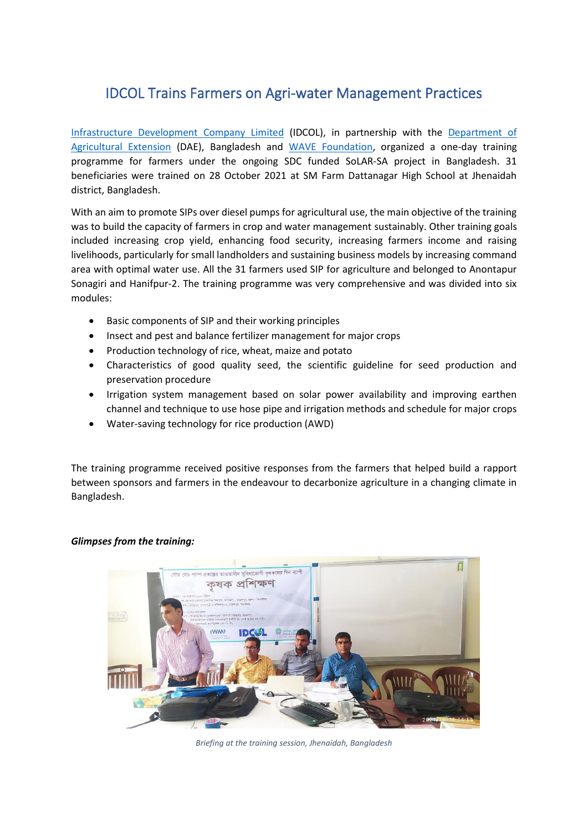## IDCOL Trains Farmers on Agri-water Management Practices

[Infrastructure Development Company Limited](https://www.idcol.org/) (IDCOL), in partnership with the [Department](http://www.dae.gov.bd/) of [Agricultural Extension](http://www.dae.gov.bd/) (DAE), Bangladesh and [WAVE Foundation,](https://wavefoundationbd.org/) organized a one-day training programme for farmers under the ongoing SDC funded SoLAR-SA project in Bangladesh. 31 beneficiaries were trained on 28 October 2021 at SM Farm Dattanagar High School at Jhenaidah district, Bangladesh.

With an aim to promote SIPs over diesel pumps for agricultural use, the main objective of the training was to build the capacity of farmers in crop and water management sustainably. Other training goals included increasing crop yield, enhancing food security, increasing farmers income and raising livelihoods, particularly for small landholders and sustaining business models by increasing command area with optimal water use. All the 31 farmers used SIP for agriculture and belonged to Anontapur Sonagiri and Hanifpur-2. The training programme was very comprehensive and was divided into six modules:

- Basic components of SIP and their working principles
- Insect and pest and balance fertilizer management for major crops
- Production technology of rice, wheat, maize and potato
- Characteristics of good quality seed, the scientific guideline for seed production and preservation procedure
- Irrigation system management based on solar power availability and improving earthen channel and technique to use hose pipe and irrigation methods and schedule for major crops
- Water-saving technology for rice production (AWD)

The training programme received positive responses from the farmers that helped build a rapport between sponsors and farmers in the endeavour to decarbonize agriculture in a changing climate in Bangladesh.

## *Glimpses from the training:*



*Briefing at the training session, Jhenaidah, Bangladesh*